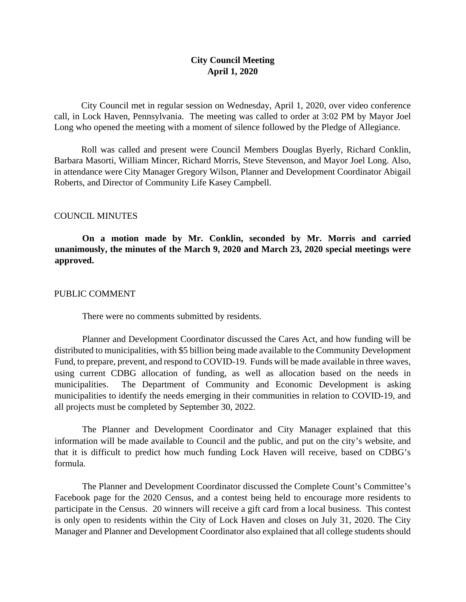# **City Council Meeting April 1, 2020**

City Council met in regular session on Wednesday, April 1, 2020, over video conference call, in Lock Haven, Pennsylvania. The meeting was called to order at 3:02 PM by Mayor Joel Long who opened the meeting with a moment of silence followed by the Pledge of Allegiance.

Roll was called and present were Council Members Douglas Byerly, Richard Conklin, Barbara Masorti, William Mincer, Richard Morris, Steve Stevenson, and Mayor Joel Long. Also, in attendance were City Manager Gregory Wilson, Planner and Development Coordinator Abigail Roberts, and Director of Community Life Kasey Campbell.

### COUNCIL MINUTES

**On a motion made by Mr. Conklin, seconded by Mr. Morris and carried unanimously, the minutes of the March 9, 2020 and March 23, 2020 special meetings were approved.** 

#### PUBLIC COMMENT

There were no comments submitted by residents.

Planner and Development Coordinator discussed the Cares Act, and how funding will be distributed to municipalities, with \$5 billion being made available to the Community Development Fund, to prepare, prevent, and respond to COVID-19. Funds will be made available in three waves, using current CDBG allocation of funding, as well as allocation based on the needs in municipalities. The Department of Community and Economic Development is asking municipalities to identify the needs emerging in their communities in relation to COVID-19, and all projects must be completed by September 30, 2022.

The Planner and Development Coordinator and City Manager explained that this information will be made available to Council and the public, and put on the city's website, and that it is difficult to predict how much funding Lock Haven will receive, based on CDBG's formula.

The Planner and Development Coordinator discussed the Complete Count's Committee's Facebook page for the 2020 Census, and a contest being held to encourage more residents to participate in the Census. 20 winners will receive a gift card from a local business. This contest is only open to residents within the City of Lock Haven and closes on July 31, 2020. The City Manager and Planner and Development Coordinator also explained that all college students should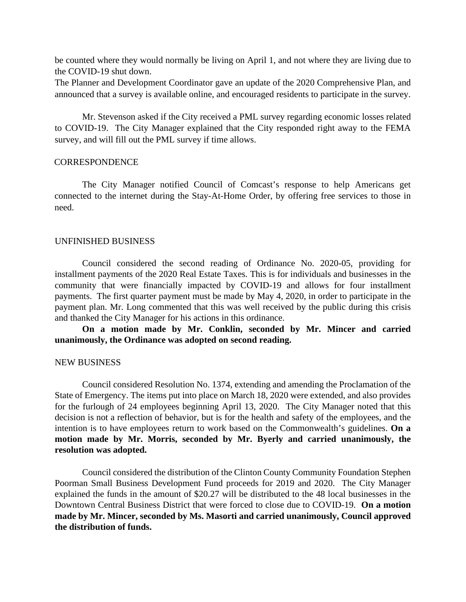be counted where they would normally be living on April 1, and not where they are living due to the COVID-19 shut down.

The Planner and Development Coordinator gave an update of the 2020 Comprehensive Plan, and announced that a survey is available online, and encouraged residents to participate in the survey.

Mr. Stevenson asked if the City received a PML survey regarding economic losses related to COVID-19. The City Manager explained that the City responded right away to the FEMA survey, and will fill out the PML survey if time allows.

### **CORRESPONDENCE**

The City Manager notified Council of Comcast's response to help Americans get connected to the internet during the Stay-At-Home Order, by offering free services to those in need.

### UNFINISHED BUSINESS

Council considered the second reading of Ordinance No. 2020-05, providing for installment payments of the 2020 Real Estate Taxes. This is for individuals and businesses in the community that were financially impacted by COVID-19 and allows for four installment payments. The first quarter payment must be made by May 4, 2020, in order to participate in the payment plan. Mr. Long commented that this was well received by the public during this crisis and thanked the City Manager for his actions in this ordinance.

**On a motion made by Mr. Conklin, seconded by Mr. Mincer and carried unanimously, the Ordinance was adopted on second reading.**

### NEW BUSINESS

Council considered Resolution No. 1374, extending and amending the Proclamation of the State of Emergency. The items put into place on March 18, 2020 were extended, and also provides for the furlough of 24 employees beginning April 13, 2020. The City Manager noted that this decision is not a reflection of behavior, but is for the health and safety of the employees, and the intention is to have employees return to work based on the Commonwealth's guidelines. **On a motion made by Mr. Morris, seconded by Mr. Byerly and carried unanimously, the resolution was adopted.**

Council considered the distribution of the Clinton County Community Foundation Stephen Poorman Small Business Development Fund proceeds for 2019 and 2020. The City Manager explained the funds in the amount of \$20.27 will be distributed to the 48 local businesses in the Downtown Central Business District that were forced to close due to COVID-19. **On a motion made by Mr. Mincer, seconded by Ms. Masorti and carried unanimously, Council approved the distribution of funds.**